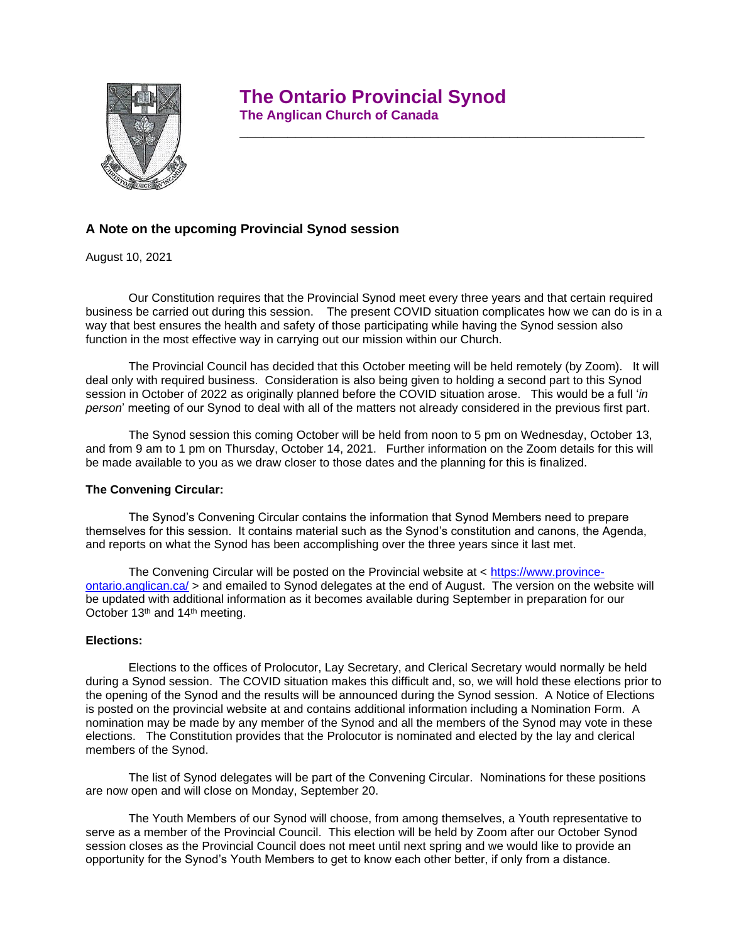# **The Ontario Provincial Synod**

 **\_\_\_\_\_\_\_\_\_\_\_\_\_\_\_\_\_\_\_\_\_\_\_\_\_\_\_\_\_\_\_\_\_\_\_\_\_\_\_\_\_\_\_\_\_\_\_\_\_\_\_**



## **The Anglican Church of Canada**

## **A Note on the upcoming Provincial Synod session**

August 10, 2021

Our Constitution requires that the Provincial Synod meet every three years and that certain required business be carried out during this session. The present COVID situation complicates how we can do is in a way that best ensures the health and safety of those participating while having the Synod session also function in the most effective way in carrying out our mission within our Church.

The Provincial Council has decided that this October meeting will be held remotely (by Zoom). It will deal only with required business. Consideration is also being given to holding a second part to this Synod session in October of 2022 as originally planned before the COVID situation arose. This would be a full '*in person*' meeting of our Synod to deal with all of the matters not already considered in the previous first part.

The Synod session this coming October will be held from noon to 5 pm on Wednesday, October 13, and from 9 am to 1 pm on Thursday, October 14, 2021. Further information on the Zoom details for this will be made available to you as we draw closer to those dates and the planning for this is finalized.

#### **The Convening Circular:**

The Synod's Convening Circular contains the information that Synod Members need to prepare themselves for this session. It contains material such as the Synod's constitution and canons, the Agenda, and reports on what the Synod has been accomplishing over the three years since it last met.

The Convening Circular will be posted on the Provincial website at  $\lt$  [https://www.province](https://www.province-ontario.anglican.ca/)[ontario.anglican.ca/](https://www.province-ontario.anglican.ca/) > and emailed to Synod delegates at the end of August. The version on the website will be updated with additional information as it becomes available during September in preparation for our October 13<sup>th</sup> and 14<sup>th</sup> meeting.

#### **Elections:**

Elections to the offices of Prolocutor, Lay Secretary, and Clerical Secretary would normally be held during a Synod session. The COVID situation makes this difficult and, so, we will hold these elections prior to the opening of the Synod and the results will be announced during the Synod session. A Notice of Elections is posted on the provincial website at and contains additional information including a Nomination Form. A nomination may be made by any member of the Synod and all the members of the Synod may vote in these elections. The Constitution provides that the Prolocutor is nominated and elected by the lay and clerical members of the Synod.

The list of Synod delegates will be part of the Convening Circular. Nominations for these positions are now open and will close on Monday, September 20.

The Youth Members of our Synod will choose, from among themselves, a Youth representative to serve as a member of the Provincial Council. This election will be held by Zoom after our October Synod session closes as the Provincial Council does not meet until next spring and we would like to provide an opportunity for the Synod's Youth Members to get to know each other better, if only from a distance.